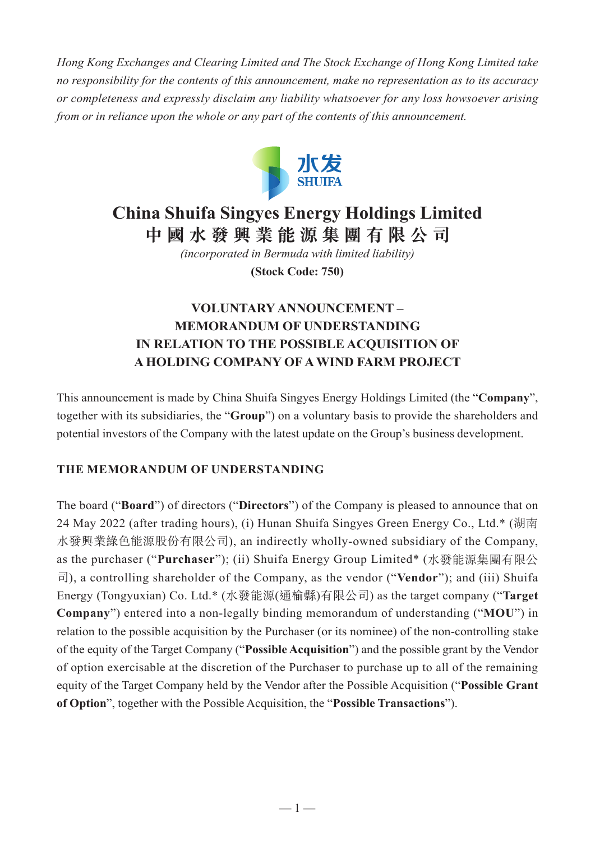*Hong Kong Exchanges and Clearing Limited and The Stock Exchange of Hong Kong Limited take no responsibility for the contents of this announcement, make no representation as to its accuracy or completeness and expressly disclaim any liability whatsoever for any loss howsoever arising from or in reliance upon the whole or any part of the contents of this announcement.*



# **China Shuifa Singyes Energy Holdings Limited 中國水發興業能源集團有限公司**

*(incorporated in Bermuda with limited liability)*

**(Stock Code: 750)**

# **VOLUNTARY ANNOUNCEMENT – MEMORANDUM OF UNDERSTANDING IN RELATION TO THE POSSIBLE ACQUISITION OF A HOLDING COMPANY OF A WIND FARM PROJECT**

This announcement is made by China Shuifa Singyes Energy Holdings Limited (the "**Company**", together with its subsidiaries, the "**Group**") on a voluntary basis to provide the shareholders and potential investors of the Company with the latest update on the Group's business development.

# **THE MEMORANDUM OF UNDERSTANDING**

The board ("**Board**") of directors ("**Directors**") of the Company is pleased to announce that on 24 May 2022 (after trading hours), (i) Hunan Shuifa Singyes Green Energy Co., Ltd.\* (湖南 水發興業綠色能源股份有限公司), an indirectly wholly-owned subsidiary of the Company, as the purchaser ("**Purchaser**"); (ii) Shuifa Energy Group Limited\* (水發能源集團有限公 司), a controlling shareholder of the Company, as the vendor ("**Vendor**"); and (iii) Shuifa Energy (Tongyuxian) Co. Ltd.\* (水發能源(通榆縣)有限公司) as the target company ("**Target Company**") entered into a non-legally binding memorandum of understanding ("**MOU**") in relation to the possible acquisition by the Purchaser (or its nominee) of the non-controlling stake of the equity of the Target Company ("**Possible Acquisition**") and the possible grant by the Vendor of option exercisable at the discretion of the Purchaser to purchase up to all of the remaining equity of the Target Company held by the Vendor after the Possible Acquisition ("**Possible Grant of Option**", together with the Possible Acquisition, the "**Possible Transactions**").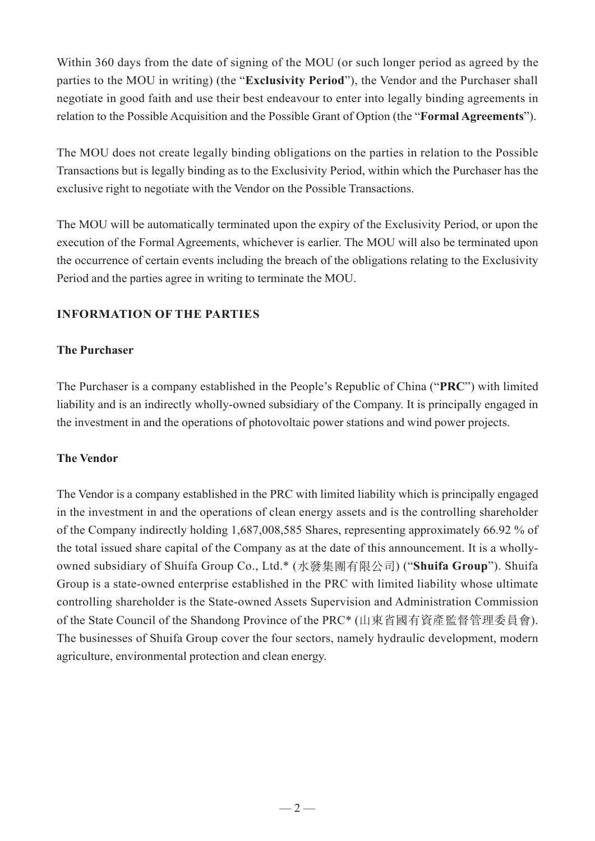Within 360 days from the date of signing of the MOU (or such longer period as agreed by the parties to the MOU in writing) (the "**Exclusivity Period**"), the Vendor and the Purchaser shall negotiate in good faith and use their best endeavour to enter into legally binding agreements in relation to the Possible Acquisition and the Possible Grant of Option (the "**Formal Agreements**").

The MOU does not create legally binding obligations on the parties in relation to the Possible Transactions but is legally binding as to the Exclusivity Period, within which the Purchaser has the exclusive right to negotiate with the Vendor on the Possible Transactions.

The MOU will be automatically terminated upon the expiry of the Exclusivity Period, or upon the execution of the Formal Agreements, whichever is earlier. The MOU will also be terminated upon the occurrence of certain events including the breach of the obligations relating to the Exclusivity Period and the parties agree in writing to terminate the MOU.

# **INFORMATION OF THE PARTIES**

#### **The Purchaser**

The Purchaser is a company established in the People's Republic of China ("**PRC**") with limited liability and is an indirectly wholly-owned subsidiary of the Company. It is principally engaged in the investment in and the operations of photovoltaic power stations and wind power projects.

# **The Vendor**

The Vendor is a company established in the PRC with limited liability which is principally engaged in the investment in and the operations of clean energy assets and is the controlling shareholder of the Company indirectly holding 1,687,008,585 Shares, representing approximately 66.92 % of the total issued share capital of the Company as at the date of this announcement. It is a whollyowned subsidiary of Shuifa Group Co., Ltd.\* (水發集團有限公司) ("**Shuifa Group**"). Shuifa Group is a state-owned enterprise established in the PRC with limited liability whose ultimate controlling shareholder is the State-owned Assets Supervision and Administration Commission of the State Council of the Shandong Province of the PRC\* (山東省國有資產監督管理委員會). The businesses of Shuifa Group cover the four sectors, namely hydraulic development, modern agriculture, environmental protection and clean energy.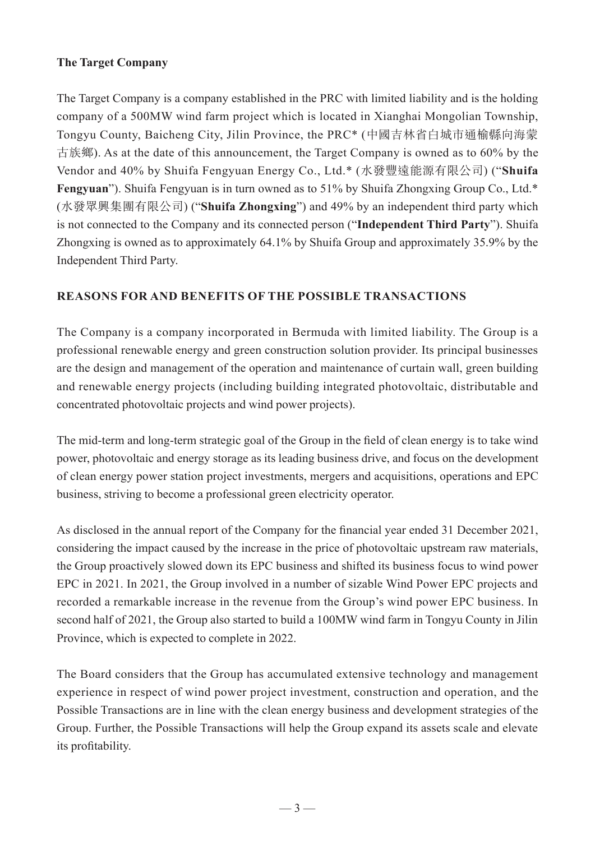# **The Target Company**

The Target Company is a company established in the PRC with limited liability and is the holding company of a 500MW wind farm project which is located in Xianghai Mongolian Township, Tongyu County, Baicheng City, Jilin Province, the PRC\* (中國吉林省白城市通榆縣向海蒙 古族鄉). As at the date of this announcement, the Target Company is owned as to 60% by the Vendor and 40% by Shuifa Fengyuan Energy Co., Ltd.\* (水發豐遠能源有限公司) ("**Shuifa Fengyuan**"). Shuifa Fengyuan is in turn owned as to 51% by Shuifa Zhongxing Group Co., Ltd.\* (水發眾興集團有限公司) ("**Shuifa Zhongxing**") and 49% by an independent third party which is not connected to the Company and its connected person ("**Independent Third Party**"). Shuifa Zhongxing is owned as to approximately 64.1% by Shuifa Group and approximately 35.9% by the Independent Third Party.

# **REASONS FOR AND BENEFITS OF THE POSSIBLE TRANSACTIONS**

The Company is a company incorporated in Bermuda with limited liability. The Group is a professional renewable energy and green construction solution provider. Its principal businesses are the design and management of the operation and maintenance of curtain wall, green building and renewable energy projects (including building integrated photovoltaic, distributable and concentrated photovoltaic projects and wind power projects).

The mid-term and long-term strategic goal of the Group in the field of clean energy is to take wind power, photovoltaic and energy storage as its leading business drive, and focus on the development of clean energy power station project investments, mergers and acquisitions, operations and EPC business, striving to become a professional green electricity operator.

As disclosed in the annual report of the Company for the financial year ended 31 December 2021, considering the impact caused by the increase in the price of photovoltaic upstream raw materials, the Group proactively slowed down its EPC business and shifted its business focus to wind power EPC in 2021. In 2021, the Group involved in a number of sizable Wind Power EPC projects and recorded a remarkable increase in the revenue from the Group's wind power EPC business. In second half of 2021, the Group also started to build a 100MW wind farm in Tongyu County in Jilin Province, which is expected to complete in 2022.

The Board considers that the Group has accumulated extensive technology and management experience in respect of wind power project investment, construction and operation, and the Possible Transactions are in line with the clean energy business and development strategies of the Group. Further, the Possible Transactions will help the Group expand its assets scale and elevate its profitability.